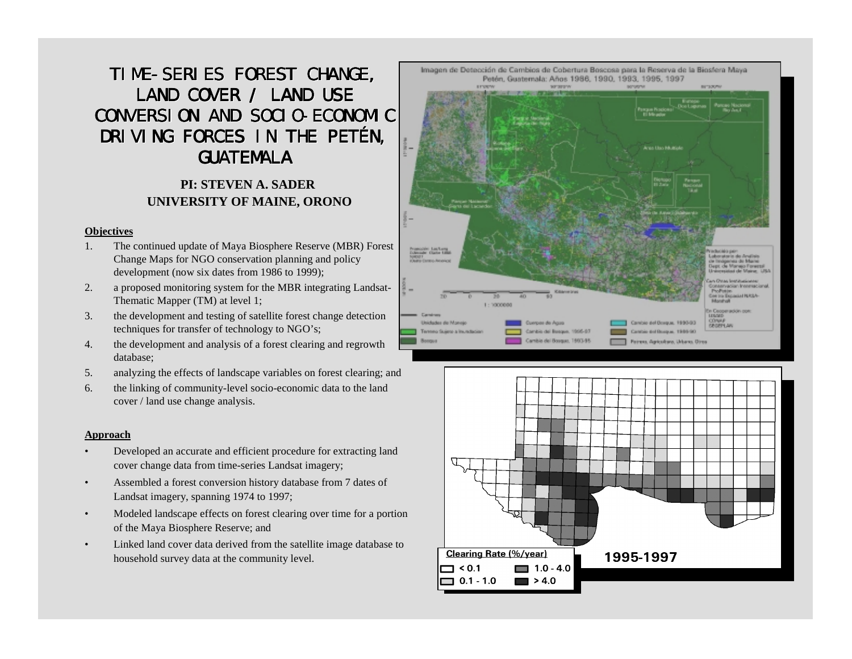# TIME-SERIES FOREST CHANGE, LAND COVER / LAND USE CONVERSION AND SOCIO-ECONOMIC DRIVING FORCES IN THE PETÉN, **GUATEMALA**

## **PI: STEVEN A. SADER UNIVERSITY OF MAINE, ORONO**

#### **Objectives**

- 1. The continued update of Maya Biosphere Reserve (MBR) Forest Change Maps for NGO conservation planning and policy development (now six dates from 1986 to 1999);
- 2. a proposed monitoring system for the MBR integrating Landsat-Thematic Mapper (TM) at level 1;
- 3. the development and testing of satellite forest change detection techniques for transfer of technology to NGO's;
- 4. the development and analysis of a forest clearing and regrowth database;
- 5. analyzing the effects of landscape variables on forest clearing; and
- 6. the linking of community-level socio-economic data to the land cover / land use change analysis.

#### **Approach**

- • Developed an accurate and efficient procedure for extracting land cover change data from time-series Landsat imagery;
- • Assembled a forest conversion history database from 7 dates of Landsat imagery, spanning 1974 to 1997;
- • Modeled landscape effects on forest clearing over time for a portion of the Maya Biosphere Reserve; and
- • Linked land cover data derived from the satellite image database to household survey data at the community level.